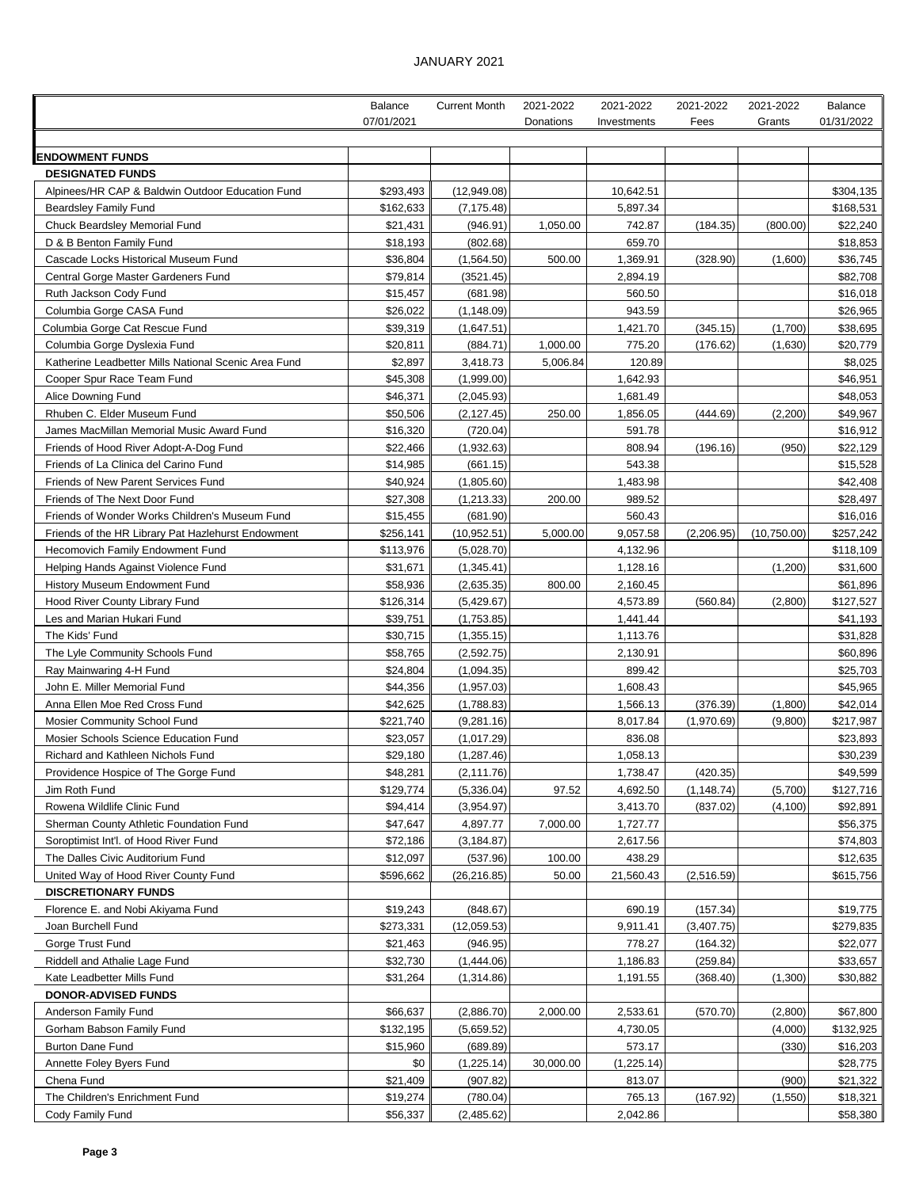## JANUARY 2021

|                                                                             | Balance               | <b>Current Month</b>     | 2021-2022 | 2021-2022            | 2021-2022   | 2021-2022   | Balance               |
|-----------------------------------------------------------------------------|-----------------------|--------------------------|-----------|----------------------|-------------|-------------|-----------------------|
|                                                                             | 07/01/2021            |                          | Donations | Investments          | Fees        | Grants      | 01/31/2022            |
|                                                                             |                       |                          |           |                      |             |             |                       |
| <b>ENDOWMENT FUNDS</b>                                                      |                       |                          |           |                      |             |             |                       |
| <b>DESIGNATED FUNDS</b><br>Alpinees/HR CAP & Baldwin Outdoor Education Fund | \$293,493             | (12,949.08)              |           | 10,642.51            |             |             | \$304,135             |
| <b>Beardsley Family Fund</b>                                                | \$162,633             | (7, 175.48)              |           | 5,897.34             |             |             | \$168,531             |
| <b>Chuck Beardsley Memorial Fund</b>                                        | \$21,431              | (946.91)                 | 1,050.00  | 742.87               | (184.35)    | (800.00)    | \$22,240              |
| D & B Benton Family Fund                                                    | \$18,193              | (802.68)                 |           | 659.70               |             |             | \$18,853              |
| Cascade Locks Historical Museum Fund                                        | \$36,804              | (1,564.50)               | 500.00    | 1,369.91             | (328.90)    | (1,600)     | \$36,745              |
| Central Gorge Master Gardeners Fund                                         | \$79,814              | (3521.45)                |           | 2,894.19             |             |             | \$82,708              |
| Ruth Jackson Cody Fund                                                      | \$15,457              | (681.98)                 |           | 560.50               |             |             | \$16,018              |
| Columbia Gorge CASA Fund                                                    | \$26,022              | (1, 148.09)              |           | 943.59               |             |             | \$26,965              |
| Columbia Gorge Cat Rescue Fund                                              | \$39,319              | (1,647.51)               |           | 1,421.70             | (345.15)    | (1,700)     | \$38,695              |
| Columbia Gorge Dyslexia Fund                                                | \$20,811              | (884.71)                 | 1,000.00  | 775.20               | (176.62)    | (1,630)     | \$20,779              |
| Katherine Leadbetter Mills National Scenic Area Fund                        | \$2,897               | 3,418.73                 | 5,006.84  | 120.89               |             |             | \$8,025               |
| Cooper Spur Race Team Fund                                                  | \$45,308              | (1,999.00)               |           | 1,642.93             |             |             | \$46,951              |
| Alice Downing Fund                                                          | \$46,371              | (2,045.93)               |           | 1,681.49             |             |             | \$48,053              |
| Rhuben C. Elder Museum Fund                                                 | \$50,506              | (2, 127.45)              | 250.00    | 1,856.05             | (444.69)    | (2,200)     | \$49,967              |
| James MacMillan Memorial Music Award Fund                                   | \$16,320              | (720.04)                 |           | 591.78               |             |             | \$16,912              |
| Friends of Hood River Adopt-A-Dog Fund                                      | \$22,466              | (1,932.63)               |           | 808.94               | (196.16)    | (950)       | \$22,129              |
| Friends of La Clinica del Carino Fund                                       | \$14,985              | (661.15)                 |           | 543.38               |             |             | \$15,528              |
| Friends of New Parent Services Fund                                         | \$40,924              | (1,805.60)               |           | 1,483.98             |             |             | \$42,408              |
| Friends of The Next Door Fund                                               | \$27,308              | (1, 213.33)              | 200.00    | 989.52               |             |             | \$28,497              |
| Friends of Wonder Works Children's Museum Fund                              | \$15,455              | (681.90)                 |           | 560.43               |             |             | \$16,016              |
| Friends of the HR Library Pat Hazlehurst Endowment                          | \$256,141             | (10, 952.51)             | 5,000.00  | 9,057.58             | (2,206.95)  | (10,750.00) | \$257,242             |
| <b>Hecomovich Family Endowment Fund</b>                                     | \$113,976<br>\$31,671 | (5,028.70)               |           | 4,132.96<br>1,128.16 |             | (1,200)     | \$118,109<br>\$31,600 |
| Helping Hands Against Violence Fund<br>History Museum Endowment Fund        | \$58,936              | (1,345.41)<br>(2,635.35) | 800.00    | 2,160.45             |             |             | \$61,896              |
| Hood River County Library Fund                                              | \$126,314             | (5,429.67)               |           | 4,573.89             | (560.84)    | (2,800)     | \$127,527             |
| Les and Marian Hukari Fund                                                  | \$39,751              | (1,753.85)               |           | 1,441.44             |             |             | \$41,193              |
| The Kids' Fund                                                              | \$30,715              | (1,355.15)               |           | 1,113.76             |             |             | \$31,828              |
| The Lyle Community Schools Fund                                             | \$58,765              | (2,592.75)               |           | 2,130.91             |             |             | \$60,896              |
| Ray Mainwaring 4-H Fund                                                     | \$24,804              | (1,094.35)               |           | 899.42               |             |             | \$25,703              |
| John E. Miller Memorial Fund                                                | \$44,356              | (1,957.03)               |           | 1,608.43             |             |             | \$45,965              |
| Anna Ellen Moe Red Cross Fund                                               | \$42,625              | (1,788.83)               |           | 1,566.13             | (376.39)    | (1,800)     | \$42,014              |
| Mosier Community School Fund                                                | \$221,740             | (9,281.16)               |           | 8,017.84             | (1,970.69)  | (9,800)     | \$217,987             |
| Mosier Schools Science Education Fund                                       | \$23,057              | (1,017.29)               |           | 836.08               |             |             | \$23,893              |
| Richard and Kathleen Nichols Fund                                           | \$29,180              | (1, 287.46)              |           | 1,058.13             |             |             | \$30,239              |
| Providence Hospice of The Gorge Fund                                        | \$48,281              | (2, 111.76)              |           | 1,738.47             | (420.35)    |             | \$49,599              |
| Jim Roth Fund                                                               | \$129,774             | (5,336.04)               | 97.52     | 4,692.50             | (1, 148.74) | (5,700)     | \$127,716             |
| Rowena Wildlife Clinic Fund                                                 | \$94,414              | (3,954.97)               |           | 3,413.70             | (837.02)    | (4, 100)    | \$92,891              |
| Sherman County Athletic Foundation Fund                                     | \$47,647              | 4,897.77                 | 7,000.00  | 1,727.77             |             |             | \$56,375              |
| Soroptimist Int'l. of Hood River Fund                                       | \$72,186              | (3, 184.87)              |           | 2,617.56             |             |             | \$74,803              |
| The Dalles Civic Auditorium Fund                                            | \$12,097              | (537.96)                 | 100.00    | 438.29               |             |             | \$12,635              |
| United Way of Hood River County Fund                                        | \$596,662             | (26, 216.85)             | 50.00     | 21,560.43            | (2,516.59)  |             | \$615,756             |
| <b>DISCRETIONARY FUNDS</b>                                                  |                       |                          |           |                      |             |             |                       |
| Florence E. and Nobi Akiyama Fund                                           | \$19,243              | (848.67)                 |           | 690.19               | (157.34)    |             | \$19,775              |
| Joan Burchell Fund                                                          | \$273,331             | (12,059.53)              |           | 9,911.41             | (3,407.75)  |             | \$279,835             |
| Gorge Trust Fund                                                            | \$21,463              | (946.95)                 |           | 778.27               | (164.32)    |             | \$22,077              |
| Riddell and Athalie Lage Fund                                               | \$32,730              | (1,444.06)               |           | 1,186.83             | (259.84)    |             | \$33,657              |
| Kate Leadbetter Mills Fund<br>DONOR-ADVISED FUNDS                           | \$31,264              | (1,314.86)               |           | 1,191.55             | (368.40)    | (1,300)     | \$30,882              |
| Anderson Family Fund                                                        | \$66,637              | (2,886.70)               | 2,000.00  | 2,533.61             | (570.70)    | (2,800)     | \$67,800              |
| Gorham Babson Family Fund                                                   | \$132,195             | (5,659.52)               |           | 4,730.05             |             | (4,000)     | \$132,925             |
| Burton Dane Fund                                                            | \$15,960              | (689.89)                 |           | 573.17               |             | (330)       | \$16,203              |
| Annette Foley Byers Fund                                                    | \$0                   | (1, 225.14)              | 30,000.00 | (1,225.14)           |             |             | \$28,775              |
| Chena Fund                                                                  | \$21,409              | (907.82)                 |           | 813.07               |             | (900)       | \$21,322              |
| The Children's Enrichment Fund                                              | \$19,274              | (780.04)                 |           | 765.13               | (167.92)    | (1,550)     | \$18,321              |
| Cody Family Fund                                                            | \$56,337              | (2,485.62)               |           | 2,042.86             |             |             | \$58,380              |